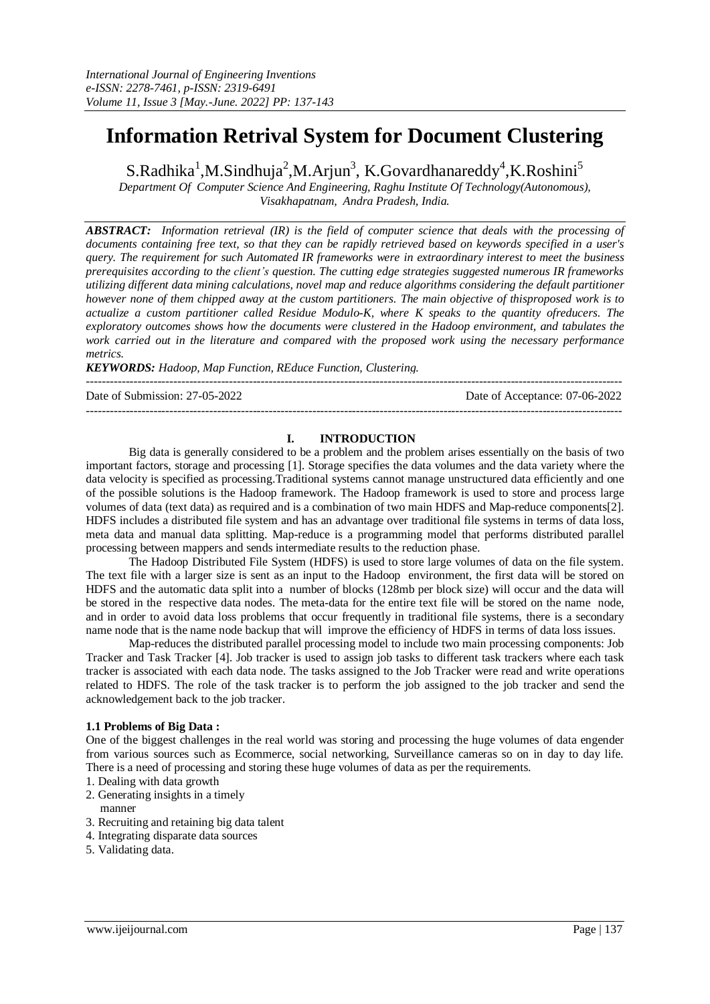# **Information Retrival System for Document Clustering**

S.Radhika<sup>1</sup>,M.Sindhuja<sup>2</sup>,M.Arjun<sup>3</sup>, K.Govardhanareddy<sup>4</sup>,K.Roshini<sup>5</sup>

*Department Of Computer Science And Engineering, Raghu Institute Of Technology(Autonomous), Visakhapatnam, Andra Pradesh, India.*

*ABSTRACT: Information retrieval (IR) is the field of computer science that deals with the processing of* documents containing free text, so that they can be rapidly retrieved based on keywords specified in a user's *query. The requirement for such Automated IR frameworks were in extraordinary interest to meet the business prerequisites according to the client's question. The cutting edge strategies suggested numerous IR frameworks utilizing different data mining calculations, novel map and reduce algorithms considering the default partitioner* however none of them chipped away at the custom partitioners. The main objective of thisproposed work is to *actualize a custom partitioner called Residue Modulo-K, where K speaks to the quantity ofreducers. The exploratory outcomes shows how the documents were clustered in the Hadoop environment, and tabulates the work carried out in the literature and compared with the proposed work using the necessary performance metrics.*

*KEYWORDS: Hadoop, Map Function, REduce Function, Clustering.* ---------------------------------------------------------------------------------------------------------------------------------------

Date of Submission: 27-05-2022 Date of Acceptance: 07-06-2022

#### **I. INTRODUCTION**

---------------------------------------------------------------------------------------------------------------------------------------

Big data is generally considered to be a problem and the problem arises essentially on the basis of two important factors, storage and processing [1]. Storage specifies the data volumes and the data variety where the data velocity is specified as processing.Traditional systems cannot manage unstructured data efficiently and one of the possible solutions is the Hadoop framework. The Hadoop framework is used to store and process large volumes of data (text data) as required and is a combination of two main HDFS and Map-reduce components[2]. HDFS includes a distributed file system and has an advantage over traditional file systems in terms of data loss, meta data and manual data splitting. Map-reduce is a programming model that performs distributed parallel processing between mappers and sends intermediate results to the reduction phase.

The Hadoop Distributed File System (HDFS) is used to store large volumes of data on the file system. The text file with a larger size is sent as an input to the Hadoop environment, the first data will be stored on HDFS and the automatic data split into a number of blocks (128mb per block size) will occur and the data will be stored in the respective data nodes. The meta-data for the entire text file will be stored on the name node, and in order to avoid data loss problems that occur frequently in traditional file systems, there is a secondary name node that is the name node backup that will improve the efficiency of HDFS in terms of data loss issues.

Map-reduces the distributed parallel processing model to include two main processing components: Job Tracker and Task Tracker [4]. Job tracker is used to assign job tasks to different task trackers where each task tracker is associated with each data node. The tasks assigned to the Job Tracker were read and write operations related to HDFS. The role of the task tracker is to perform the job assigned to the job tracker and send the acknowledgement back to the job tracker.

#### **1.1 Problems of Big Data :**

One of the biggest challenges in the real world was storing and processing the huge volumes of data engender from various sources such as Ecommerce, social networking, Surveillance cameras so on in day to day life. There is a need of processing and storing these huge volumes of data as per the requirements.

- 1. Dealing with data growth
- 2. Generating insights in a timely
- manner
- 3. Recruiting and retaining big data talent
- 4. Integrating disparate data sources
- 5. Validating data.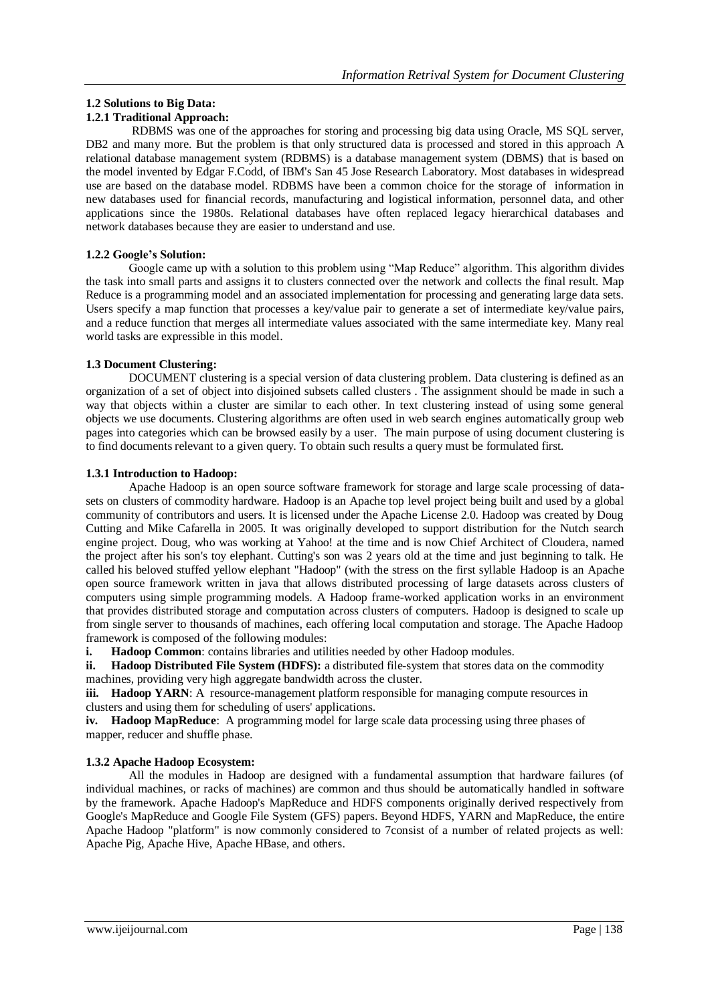## **1.2 Solutions to Big Data:**

## **1.2.1 Traditional Approach:**

RDBMS was one of the approaches for storing and processing big data using Oracle, MS SQL server, DB2 and many more. But the problem is that only structured data is processed and stored in this approach A relational database management system (RDBMS) is a database management system (DBMS) that is based on the model invented by Edgar F.Codd, of IBM's San 45 Jose Research Laboratory. Most databases in widespread use are based on the database model. RDBMS have been a common choice for the storage of information in new databases used for financial records, manufacturing and logistical information, personnel data, and other applications since the 1980s. Relational databases have often replaced legacy hierarchical databases and network databases because they are easier to understand and use.

## **1.2.2 Google's Solution:**

Google came up with a solution to this problem using "Map Reduce" algorithm. This algorithm divides the task into small parts and assigns it to clusters connected over the network and collects the final result. Map Reduce is a programming model and an associated implementation for processing and generating large data sets. Users specify a map function that processes a key/value pair to generate a set of intermediate key/value pairs, and a reduce function that merges all intermediate values associated with the same intermediate key. Many real world tasks are expressible in this model.

## **1.3 Document Clustering:**

DOCUMENT clustering is a special version of data clustering problem. Data clustering is defined as an organization of a set of object into disjoined subsets called clusters . The assignment should be made in such a way that objects within a cluster are similar to each other. In text clustering instead of using some general objects we use documents. Clustering algorithms are often used in web search engines automatically group web pages into categories which can be browsed easily by a user. The main purpose of using document clustering is to find documents relevant to a given query. To obtain such results a query must be formulated first.

#### **1.3.1 Introduction to Hadoop:**

Apache Hadoop is an open source software framework for storage and large scale processing of datasets on clusters of commodity hardware. Hadoop is an Apache top level project being built and used by a global community of contributors and users. It is licensed under the Apache License 2.0. Hadoop was created by Doug Cutting and Mike Cafarella in 2005. It was originally developed to support distribution for the Nutch search engine project. Doug, who was working at Yahoo! at the time and is now Chief Architect of Cloudera, named the project after his son's toy elephant. Cutting's son was 2 years old at the time and just beginning to talk. He called his beloved stuffed yellow elephant "Hadoop" (with the stress on the first syllable Hadoop is an Apache open source framework written in java that allows distributed processing of large datasets across clusters of computers using simple programming models. A Hadoop frame-worked application works in an environment that provides distributed storage and computation across clusters of computers. Hadoop is designed to scale up from single server to thousands of machines, each offering local computation and storage. The Apache Hadoop framework is composed of the following modules:

**i. Hadoop Common**: contains libraries and utilities needed by other Hadoop modules.

**ii. Hadoop Distributed File System (HDFS):** a distributed file-system that stores data on the commodity machines, providing very high aggregate bandwidth across the cluster.

iii. Hadoop YARN: A resource-management platform responsible for managing compute resources in clusters and using them for scheduling of users' applications.

**iv. Hadoop MapReduce**: A programming model for large scale data processing using three phases of mapper, reducer and shuffle phase.

## **1.3.2 Apache Hadoop Ecosystem:**

All the modules in Hadoop are designed with a fundamental assumption that hardware failures (of individual machines, or racks of machines) are common and thus should be automatically handled in software by the framework. Apache Hadoop's MapReduce and HDFS components originally derived respectively from Google's MapReduce and Google File System (GFS) papers. Beyond HDFS, YARN and MapReduce, the entire Apache Hadoop "platform" is now commonly considered to 7consist of a number of related projects as well: Apache Pig, Apache Hive, Apache HBase, and others.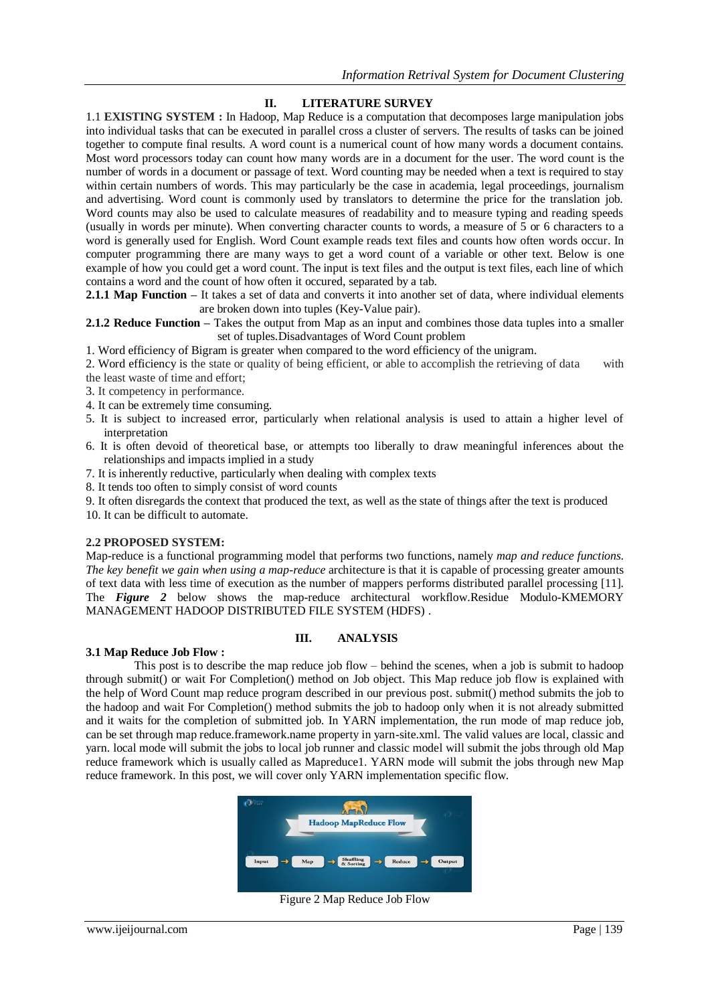## **II. LITERATURE SURVEY**

1.1 **EXISTING SYSTEM :** In Hadoop, Map Reduce is a computation that decomposes large manipulation jobs into individual tasks that can be executed in parallel cross a cluster of servers. The results of tasks can be joined together to compute final results. A word count is a numerical count of how many words a document contains. Most word processors today can count how many words are in a document for the user. The word count is the number of words in a document or passage of text. Word counting may be needed when a text is required to stay within certain numbers of words. This may particularly be the case in academia, legal proceedings, journalism and advertising. Word count is commonly used by translators to determine the price for the translation job. Word counts may also be used to calculate measures of readability and to measure typing and reading speeds (usually in words per minute). When converting character counts to words, a measure of 5 or 6 characters to a word is generally used for English. Word Count example reads text files and counts how often words occur. In computer programming there are many ways to get a word count of a variable or other text. Below is one example of how you could get a word count. The input is text files and the output is text files, each line of which contains a word and the count of how often it occured, separated by a tab.

**2.1.1 Map Function –** It takes a set of data and converts it into another set of data, where individual elements are broken down into tuples (Key-Value pair).

**2.1.2 Reduce Function –** Takes the output from Map as an input and combines those data tuples into a smaller set of tuples.Disadvantages of Word Count problem

1. Word efficiency of Bigram is greater when compared to the word efficiency of the unigram.

- 2. Word efficiency is the state or quality of being efficient, or able to accomplish the retrieving of data with the least waste of time and effort;
- 3. It competency in performance.
- 4. It can be extremely time consuming.
- 5. It is subject to increased error, particularly when relational analysis is used to attain a higher level of interpretation
- 6. It is often devoid of theoretical base, or attempts too liberally to draw meaningful inferences about the relationships and impacts implied in a study
- 7. It is inherently reductive, particularly when dealing with complex texts
- 8. It tends too often to simply consist of word counts
- 9. It often disregards the context that produced the text, as well as the state of things after the text is produced

10. It can be difficult to automate.

#### **2.2 PROPOSED SYSTEM:**

Map-reduce is a functional programming model that performs two functions, namely *map and reduce functions. The key benefit we gain when using a map-reduce* architecture is that it is capable of processing greater amounts of text data with less time of execution as the number of mappers performs distributed parallel processing [11]. The *Figure 2* below shows the map-reduce architectural workflow.Residue Modulo-KMEMORY MANAGEMENT HADOOP DISTRIBUTED FILE SYSTEM (HDFS) .

#### **3.1 Map Reduce Job Flow :**

#### **III. ANALYSIS**

This post is to describe the map reduce job flow – behind the scenes, when a job is submit to hadoop through submit() or wait For Completion() method on Job object. This Map reduce job flow is explained with the help of Word Count map reduce program described in our previous post. submit() method submits the job to the hadoop and wait For Completion() method submits the job to hadoop only when it is not already submitted and it waits for the completion of submitted job. In YARN implementation, the run mode of map reduce job, can be set through map reduce.framework.name property in yarn-site.xml. The valid values are local, classic and yarn. local mode will submit the jobs to local job runner and classic model will submit the jobs through old Map reduce framework which is usually called as Mapreduce1. YARN mode will submit the jobs through new Map reduce framework. In this post, we will cover only YARN implementation specific flow.



Figure 2 Map Reduce Job Flow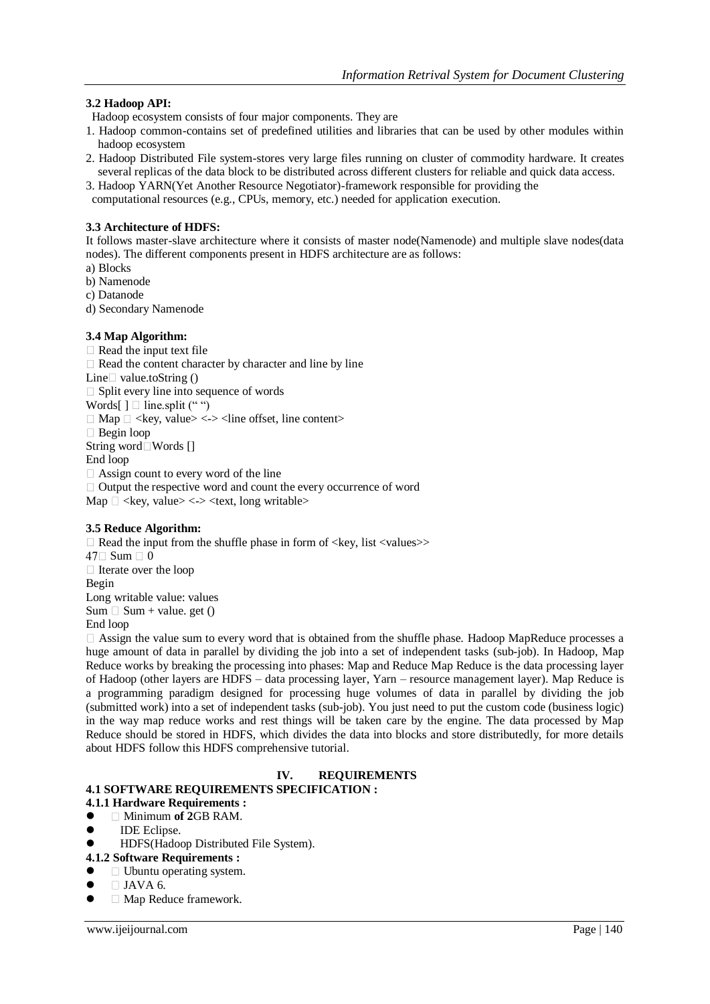## **3.2 Hadoop API:**

- Hadoop ecosystem consists of four major components. They are
- 1. Hadoop common-contains set of predefined utilities and libraries that can be used by other modules within hadoop ecosystem
- 2. Hadoop Distributed File system-stores very large files running on cluster of commodity hardware. It creates several replicas of the data block to be distributed across different clusters for reliable and quick data access.
- 3. Hadoop YARN(Yet Another Resource Negotiator)-framework responsible for providing the
- computational resources (e.g., CPUs, memory, etc.) needed for application execution.

## **3.3 Architecture of HDFS:**

It follows master-slave architecture where it consists of master node(Namenode) and multiple slave nodes(data nodes). The different components present in HDFS architecture are as follows:

- a) Blocks
- b) Namenode c) Datanode
- d) Secondary Namenode

#### **3.4 Map Algorithm:**

 $\Box$  Read the input text file  $\Box$  Read the content character by character and line by line Line  $\Box$  value.toString ()  $\Box$  Split every line into sequence of words Words[]  $\Box$  line.split ("")  $\Box$  Map  $\Box$  <key, value> <-> <line offset, line content> □ Begin loop String word□Words [] End loop  $\Box$  Assign count to every word of the line  $\Box$  Output the respective word and count the every occurrence of word  $Map \square \ll key$ , value $>> \ll ext$ , long writable $>$ 

#### **3.5 Reduce Algorithm:**

 $\Box$  Read the input from the shuffle phase in form of  $\langle$ key, list  $\langle$ values $\rangle$  $47 \square$  Sum  $\square$  0  $\Box$  Iterate over the loop Begin Long writable value: values  $Sum \Box Sum + value. get ()$ End loop

 $\Box$  Assign the value sum to every word that is obtained from the shuffle phase. Hadoop MapReduce processes a huge amount of data in parallel by dividing the job into a set of independent tasks (sub-job). In Hadoop, Map Reduce works by breaking the processing into phases: Map and Reduce Map Reduce is the data processing layer of Hadoop (other layers are HDFS – data processing layer, Yarn – resource management layer). Map Reduce is a programming paradigm designed for processing huge volumes of data in parallel by dividing the job (submitted work) into a set of independent tasks (sub-job). You just need to put the custom code (business logic) in the way map reduce works and rest things will be taken care by the engine. The data processed by Map Reduce should be stored in HDFS, which divides the data into blocks and store distributedly, for more details about HDFS follow this HDFS comprehensive tutorial.

## **IV. REQUIREMENTS**

#### **4.1 SOFTWARE REQUIREMENTS SPECIFICATION :**

#### **4.1.1 Hardware Requirements :**

- Minimum **of 2**GB RAM.
- IDE Eclipse.
- HDFS(Hadoop Distributed File System).

#### **4.1.2 Software Requirements :**

- □ Ubuntu operating system.
- $\Box$  JAVA 6.
- Map Reduce framework.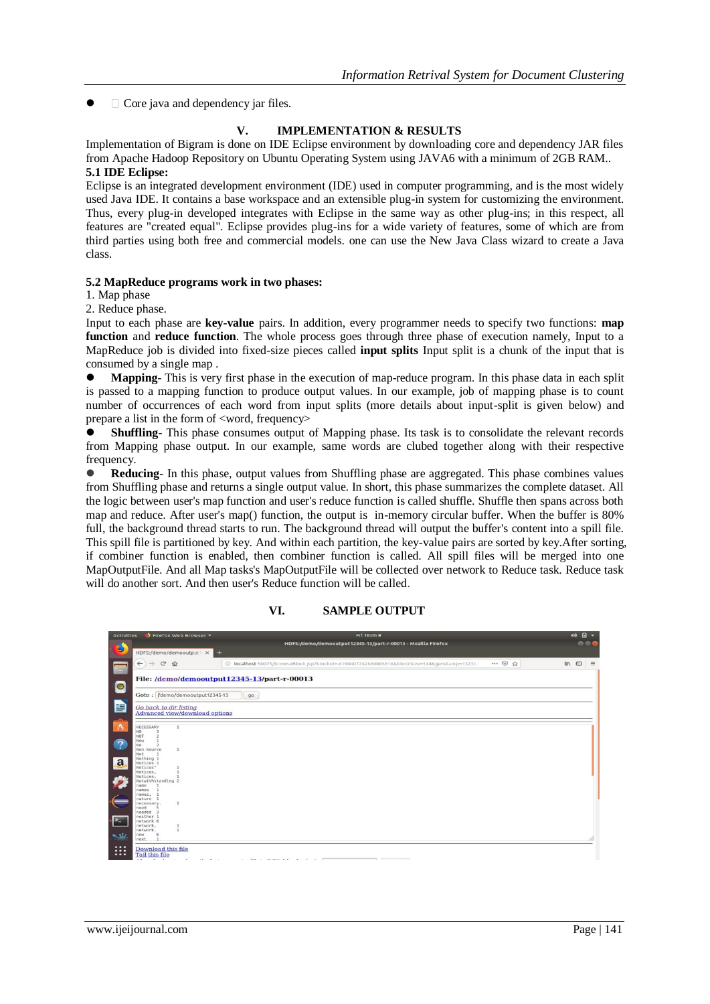$\Box$  Core java and dependency jar files.

#### **V. IMPLEMENTATION & RESULTS**

Implementation of Bigram is done on IDE Eclipse environment by downloading core and dependency JAR files from Apache Hadoop Repository on Ubuntu Operating System using JAVA6 with a minimum of 2GB RAM.. **5.1 IDE Eclipse:**

Eclipse is an integrated development environment (IDE) used in computer programming, and is the most widely used Java IDE. It contains a base workspace and an extensible plug-in system for customizing the environment. Thus, every plug-in developed integrates with Eclipse in the same way as other plug-ins; in this respect, all features are "created equal". Eclipse provides plug-ins for a wide variety of features, some of which are from third parties using both free and commercial models. one can use the New Java Class wizard to create a Java class.

#### **5.2 MapReduce programs work in two phases:**

1. Map phase

2. Reduce phase.

Input to each phase are **key-value** pairs. In addition, every programmer needs to specify two functions: **map function** and **reduce function**. The whole process goes through three phase of execution namely, Input to a MapReduce job is divided into fixed-size pieces called **input splits** Input split is a chunk of the input that is consumed by a single map .

 **Mapping**- This is very first phase in the execution of map-reduce program. In this phase data in each split is passed to a mapping function to produce output values. In our example, job of mapping phase is to count number of occurrences of each word from input splits (more details about input-split is given below) and prepare a list in the form of <word, frequency>

**Shuffling**- This phase consumes output of Mapping phase. Its task is to consolidate the relevant records from Mapping phase output. In our example, same words are clubed together along with their respective frequency.

 **Reducing**- In this phase, output values from Shuffling phase are aggregated. This phase combines values from Shuffling phase and returns a single output value. In short, this phase summarizes the complete dataset. All the logic between user's map function and user's reduce function is called shuffle. Shuffle then spans across both map and reduce. After user's map() function, the output is in-memory circular buffer. When the buffer is 80% full, the background thread starts to run. The background thread will output the buffer's content into a spill file. This spill file is partitioned by key. And within each partition, the key-value pairs are sorted by key.After sorting, if combiner function is enabled, then combiner function is called. All spill files will be merged into one MapOutputFile. And all Map tasks's MapOutputFile will be collected over network to Reduce task. Reduce task will do another sort. And then user's Reduce function will be called.



**VI. SAMPLE OUTPUT**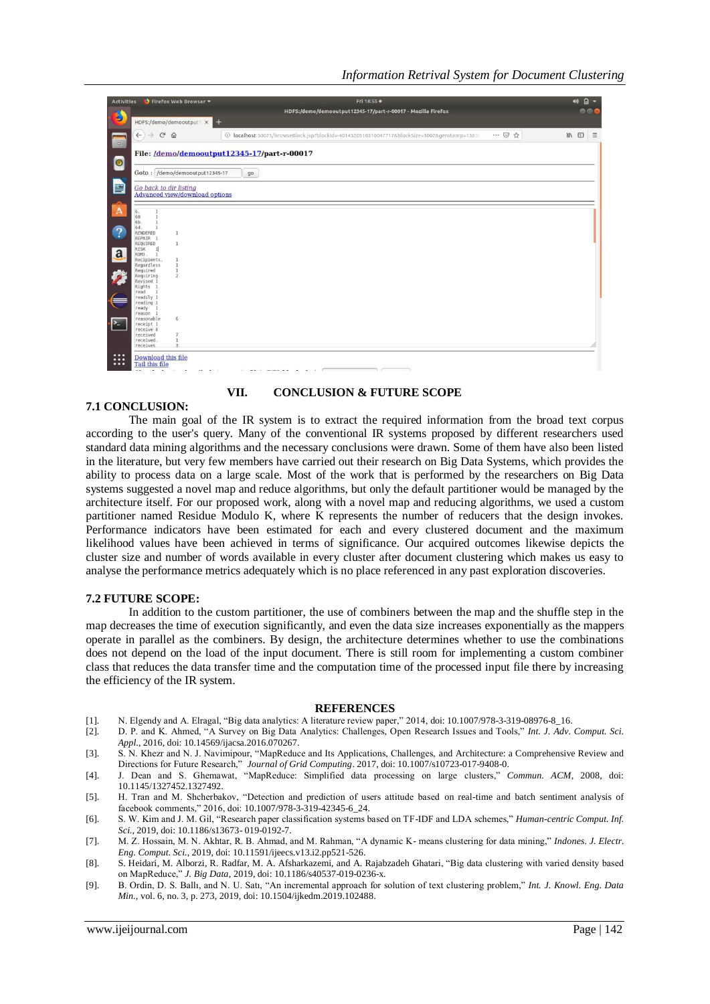| <b>Activities</b>                                                   |                                                                 | Firefox Web Browser                                      | Fri 18:55 ·                                                                              |      | $\Box$<br>40      |
|---------------------------------------------------------------------|-----------------------------------------------------------------|----------------------------------------------------------|------------------------------------------------------------------------------------------|------|-------------------|
| B                                                                   |                                                                 |                                                          | HDFS:/demo/demooutput12345-17/part-r-00017 - Mozilla Firefox                             |      | 000               |
|                                                                     |                                                                 | HDFS:/demo/demooutput1 x                                 |                                                                                          |      |                   |
| $\begin{array}{ c } \hline \hline \hline \hline \hline \end{array}$ | $_{\rm G}$<br>$\leftarrow$<br>$\rightarrow$                     | $\hat{w}$                                                | 4014320518310047717&blockSize=1002&genstamp=13638310047717&blockSize=1002&genstamp=13638 | … ⊙☆ | IN ED<br>$\equiv$ |
|                                                                     | File: /demo/demooutput12345-17/part-r-00017                     |                                                          |                                                                                          |      |                   |
| $\bullet$                                                           |                                                                 | Goto: /demo/demooutput12345-17                           | 90                                                                                       |      |                   |
| þ                                                                   |                                                                 | Go back to dir listing<br>Advanced view/download options |                                                                                          |      |                   |
| A                                                                   |                                                                 |                                                          |                                                                                          |      |                   |
|                                                                     | $\mathbf{1}$<br>6.<br>60<br>$\mathbf{1}$<br>6b.<br>$\mathbf{1}$ |                                                          |                                                                                          |      |                   |
| $\mathcal{P}$                                                       | 6d.<br>$\mathbf{1}$<br>RENDERED<br>REPAIR 1                     | 1                                                        |                                                                                          |      |                   |
|                                                                     | REQUIRED<br>$\mathop{\mathbb{1}}_1$<br>RISK                     | $\mathbf{1}$                                             |                                                                                          |      |                   |
| a                                                                   | ROM).<br>Recipients.<br>Regardless                              | 1<br>$\mathbf{1}$                                        |                                                                                          |      |                   |
|                                                                     | Required<br>Requiring                                           | $\mathbf{1}$<br>$\overline{2}$                           |                                                                                          |      |                   |
|                                                                     | Revised 1<br>Rights <sub>1</sub><br>$\overline{1}$<br>read      |                                                          |                                                                                          |      |                   |
|                                                                     | readily 1<br>reading 1                                          |                                                          |                                                                                          |      |                   |
|                                                                     | ready 1<br>reason 1                                             |                                                          |                                                                                          |      |                   |
| $\sum$                                                              | reasonable<br>receipt 1<br>receive 8                            | 6                                                        |                                                                                          |      |                   |
|                                                                     | received<br>received.                                           | 1                                                        |                                                                                          |      |                   |
| $\bullet\bullet\bullet$                                             | receives                                                        |                                                          |                                                                                          |      |                   |
| $\cdots$<br>$\bullet\bullet\bullet$                                 | <b>Download this file</b><br><b>Tail this file</b>              |                                                          |                                                                                          |      |                   |
|                                                                     |                                                                 |                                                          |                                                                                          |      |                   |

#### **VII. CONCLUSION & FUTURE SCOPE**

#### **7.1 CONCLUSION:**

The main goal of the IR system is to extract the required information from the broad text corpus according to the user's query. Many of the conventional IR systems proposed by different researchers used standard data mining algorithms and the necessary conclusions were drawn. Some of them have also been listed in the literature, but very few members have carried out their research on Big Data Systems, which provides the ability to process data on a large scale. Most of the work that is performed by the researchers on Big Data systems suggested a novel map and reduce algorithms, but only the default partitioner would be managed by the architecture itself. For our proposed work, along with a novel map and reducing algorithms, we used a custom partitioner named Residue Modulo K, where K represents the number of reducers that the design invokes. Performance indicators have been estimated for each and every clustered document and the maximum likelihood values have been achieved in terms of significance. Our acquired outcomes likewise depicts the cluster size and number of words available in every cluster after document clustering which makes us easy to analyse the performance metrics adequately which is no place referenced in any past exploration discoveries.

#### **7.2 FUTURE SCOPE:**

In addition to the custom partitioner, the use of combiners between the map and the shuffle step in the map decreases the time of execution significantly, and even the data size increases exponentially as the mappers operate in parallel as the combiners. By design, the architecture determines whether to use the combinations does not depend on the load of the input document. There is still room for implementing a custom combiner class that reduces the data transfer time and the computation time of the processed input file there by increasing the efficiency of the IR system.

#### **REFERENCES**

- [1]. N. Elgendy and A. Elragal, "Big data analytics: A literature review paper," 2014, doi: 10.1007/978-3-319-08976-8\_16.
- [2]. D. P. and K. Ahmed, "A Survey on Big Data Analytics: Challenges, Open Research Issues and Tools," *Int. J. Adv. Comput. Sci. Appl.*, 2016, doi: 10.14569/ijacsa.2016.070267.

[3]. S. N. Khezr and N. J. Navimipour, "MapReduce and Its Applications, Challenges, and Architecture: a Comprehensive Review and Directions for Future Research," *Journal of Grid Computing*. 2017, doi: 10.1007/s10723-017-9408-0.

[4]. J. Dean and S. Ghemawat, "MapReduce: Simplified data processing on large clusters," *Commun. ACM*, 2008, doi: 10.1145/1327452.1327492.

[5]. H. Tran and M. Shcherbakov, "Detection and prediction of users attitude based on real-time and batch sentiment analysis of facebook comments," 2016, doi: 10.1007/978-3-319-42345-6\_24.

[6]. S. W. Kim and J. M. Gil, "Research paper classification systems based on TF-IDF and LDA schemes," *Human-centric Comput. Inf. Sci.*, 2019, doi: 10.1186/s13673- 019-0192-7.

[7]. M. Z. Hossain, M. N. Akhtar, R. B. Ahmad, and M. Rahman, "A dynamic K- means clustering for data mining," *Indones. J. Electr. Eng. Comput. Sci.*, 2019, doi: 10.11591/ijeecs.v13.i2.pp521-526.

- [8]. S. Heidari, M. Alborzi, R. Radfar, M. A. Afsharkazemi, and A. Rajabzadeh Ghatari, "Big data clustering with varied density based on MapReduce," *J. Big Data*, 2019, doi: 10.1186/s40537-019-0236-x.
- [9]. B. Ordin, D. S. Ballı, and N. U. Satı, "An incremental approach for solution of text clustering problem," *Int. J. Knowl. Eng. Data Min.*, vol. 6, no. 3, p. 273, 2019, doi: 10.1504/ijkedm.2019.102488.